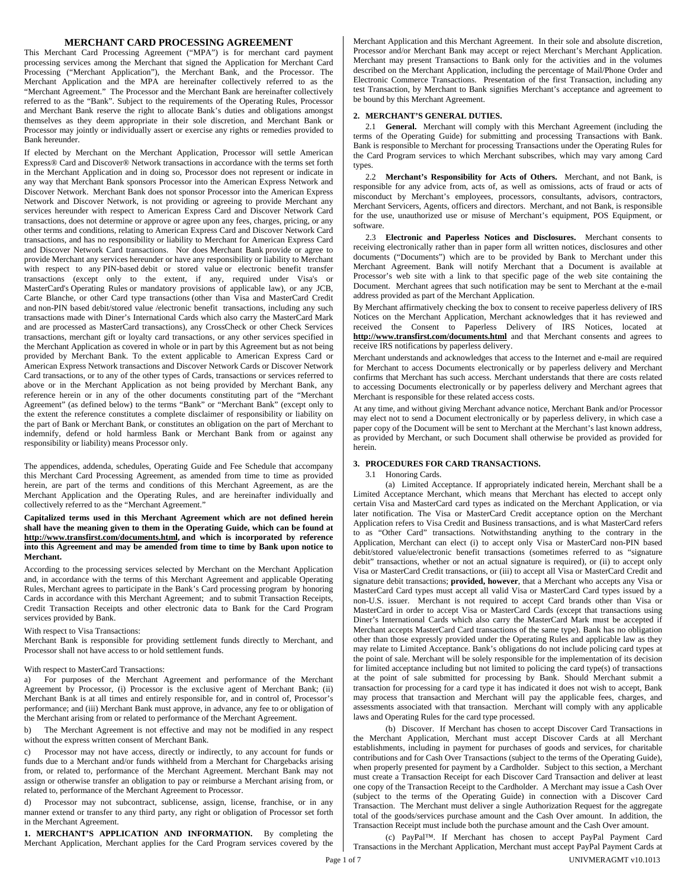## **MERCHANT CARD PROCESSING AGREEMENT**

This Merchant Card Processing Agreement ("MPA") is for merchant card payment processing services among the Merchant that signed the Application for Merchant Card Processing ("Merchant Application"), the Merchant Bank, and the Processor. The Merchant Application and the MPA are hereinafter collectively referred to as the "Merchant Agreement." The Processor and the Merchant Bank are hereinafter collectively referred to as the "Bank". Subject to the requirements of the Operating Rules, Processor and Merchant Bank reserve the right to allocate Bank's duties and obligations amongst themselves as they deem appropriate in their sole discretion, and Merchant Bank or Processor may jointly or individually assert or exercise any rights or remedies provided to Bank hereunder.

If elected by Merchant on the Merchant Application, Processor will settle American Express® Card and Discover® Network transactions in accordance with the terms set forth in the Merchant Application and in doing so, Processor does not represent or indicate in any way that Merchant Bank sponsors Processor into the American Express Network and Discover Network. Merchant Bank does not sponsor Processor into the American Express Network and Discover Network, is not providing or agreeing to provide Merchant any services hereunder with respect to American Express Card and Discover Network Card transactions, does not determine or approve or agree upon any fees, charges, pricing, or any other terms and conditions, relating to American Express Card and Discover Network Card transactions, and has no responsibility or liability to Merchant for American Express Card and Discover Network Card transactions. Nor does Merchant Bank provide or agree to provide Merchant any services hereunder or have any responsibility or liability to Merchant with respect to any PIN-based debit or stored value or electronic benefit transfer transactions (except only to the extent, if any, required under Visa's or MasterCard's Operating Rules or mandatory provisions of applicable law), or any JCB, Carte Blanche, or other Card type transactions (other than Visa and MasterCard Credit and non-PIN based debit/stored value /electronic benefit transactions, including any such transactions made with Diner's International Cards which also carry the MasterCard Mark and are processed as MasterCard transactions), any CrossCheck or other Check Services transactions, merchant gift or loyalty card transactions, or any other services specified in the Merchant Application as covered in whole or in part by this Agreement but as not being provided by Merchant Bank. To the extent applicable to American Express Card or American Express Network transactions and Discover Network Cards or Discover Network Card transactions, or to any of the other types of Cards, transactions or services referred to above or in the Merchant Application as not being provided by Merchant Bank, any reference herein or in any of the other documents constituting part of the "Merchant Agreement" (as defined below) to the terms "Bank" or "Merchant Bank" (except only to the extent the reference constitutes a complete disclaimer of responsibility or liability on the part of Bank or Merchant Bank, or constitutes an obligation on the part of Merchant to indemnify, defend or hold harmless Bank or Merchant Bank from or against any responsibility or liability) means Processor only.

The appendices, addenda, schedules, Operating Guide and Fee Schedule that accompany this Merchant Card Processing Agreement, as amended from time to time as provided herein, are part of the terms and conditions of this Merchant Agreement, as are the Merchant Application and the Operating Rules, and are hereinafter individually and collectively referred to as the "Merchant Agreement."

### **Capitalized terms used in this Merchant Agreement which are not defined herein shall have the meaning given to them in the Operating Guide, which can be found at http://www.transfirst.com/documents.html, and which is incorporated by reference into this Agreement and may be amended from time to time by Bank upon notice to Merchant.**

According to the processing services selected by Merchant on the Merchant Application and, in accordance with the terms of this Merchant Agreement and applicable Operating Rules, Merchant agrees to participate in the Bank's Card processing program by honoring Cards in accordance with this Merchant Agreement; and to submit Transaction Receipts, Credit Transaction Receipts and other electronic data to Bank for the Card Program services provided by Bank.

### With respect to Visa Transactions:

Merchant Bank is responsible for providing settlement funds directly to Merchant, and Processor shall not have access to or hold settlement funds.

#### With respect to MasterCard Transactions:

a) For purposes of the Merchant Agreement and performance of the Merchant Agreement by Processor, (i) Processor is the exclusive agent of Merchant Bank; (ii) Merchant Bank is at all times and entirely responsible for, and in control of, Processor's performance; and (iii) Merchant Bank must approve, in advance, any fee to or obligation of the Merchant arising from or related to performance of the Merchant Agreement.

b) The Merchant Agreement is not effective and may not be modified in any respect without the express written consent of Merchant Bank.

c) Processor may not have access, directly or indirectly, to any account for funds or funds due to a Merchant and/or funds withheld from a Merchant for Chargebacks arising from, or related to, performance of the Merchant Agreement. Merchant Bank may not assign or otherwise transfer an obligation to pay or reimburse a Merchant arising from, or related to, performance of the Merchant Agreement to Processor.

d) Processor may not subcontract, sublicense, assign, license, franchise, or in any manner extend or transfer to any third party, any right or obligation of Processor set forth in the Merchant Agreement.

**1. MERCHANT'S APPLICATION AND INFORMATION.** By completing the Merchant Application, Merchant applies for the Card Program services covered by the Merchant Application and this Merchant Agreement. In their sole and absolute discretion, Processor and/or Merchant Bank may accept or reject Merchant's Merchant Application. Merchant may present Transactions to Bank only for the activities and in the volumes described on the Merchant Application, including the percentage of Mail/Phone Order and Electronic Commerce Transactions. Presentation of the first Transaction, including any test Transaction, by Merchant to Bank signifies Merchant's acceptance and agreement to be bound by this Merchant Agreement.

## **2. MERCHANT'S GENERAL DUTIES.**

2.1 **General.** Merchant will comply with this Merchant Agreement (including the terms of the Operating Guide) for submitting and processing Transactions with Bank. Bank is responsible to Merchant for processing Transactions under the Operating Rules for the Card Program services to which Merchant subscribes, which may vary among Card types.

2.2 **Merchant's Responsibility for Acts of Others.** Merchant, and not Bank, is responsible for any advice from, acts of, as well as omissions, acts of fraud or acts of misconduct by Merchant's employees, processors, consultants, advisors, contractors, Merchant Servicers, Agents, officers and directors. Merchant, and not Bank, is responsible for the use, unauthorized use or misuse of Merchant's equipment, POS Equipment, or software.

2.3 **Electronic and Paperless Notices and Disclosures.** Merchant consents to receiving electronically rather than in paper form all written notices, disclosures and other documents ("Documents") which are to be provided by Bank to Merchant under this Merchant Agreement. Bank will notify Merchant that a Document is available at Processor's web site with a link to that specific page of the web site containing the Document. Merchant agrees that such notification may be sent to Merchant at the e-mail address provided as part of the Merchant Application.

By Merchant affirmatively checking the box to consent to receive paperless delivery of IRS Notices on the Merchant Application, Merchant acknowledges that it has reviewed and received the Consent to Paperless Delivery of IRS Notices, located at **http://www.transfirst.com/documents.html** and that Merchant consents and agrees to receive IRS notifications by paperless delivery.

Merchant understands and acknowledges that access to the Internet and e-mail are required for Merchant to access Documents electronically or by paperless delivery and Merchant confirms that Merchant has such access. Merchant understands that there are costs related to accessing Documents electronically or by paperless delivery and Merchant agrees that Merchant is responsible for these related access costs.

At any time, and without giving Merchant advance notice, Merchant Bank and/or Processor may elect not to send a Document electronically or by paperless delivery, in which case a paper copy of the Document will be sent to Merchant at the Merchant's last known address, as provided by Merchant, or such Document shall otherwise be provided as provided for herein.

## **3. PROCEDURES FOR CARD TRANSACTIONS.**

### 3.1 Honoring Cards.

(a) Limited Acceptance. If appropriately indicated herein, Merchant shall be a Limited Acceptance Merchant, which means that Merchant has elected to accept only certain Visa and MasterCard card types as indicated on the Merchant Application, or via later notification. The Visa or MasterCard Credit acceptance option on the Merchant Application refers to Visa Credit and Business transactions, and is what MasterCard refers to as "Other Card" transactions. Notwithstanding anything to the contrary in the Application, Merchant can elect (i) to accept only Visa or MasterCard non-PIN based debit/stored value/electronic benefit transactions (sometimes referred to as "signature debit" transactions, whether or not an actual signature is required), or (ii) to accept only Visa or MasterCard Credit transactions, or (iii) to accept all Visa or MasterCard Credit and signature debit transactions; **provided, however**, that a Merchant who accepts any Visa or MasterCard Card types must accept all valid Visa or MasterCard Card types issued by a non-U.S. issuer. Merchant is not required to accept Card brands other than Visa or MasterCard in order to accept Visa or MasterCard Cards (except that transactions using Diner's International Cards which also carry the MasterCard Mark must be accepted if Merchant accepts MasterCard Card transactions of the same type). Bank has no obligation other than those expressly provided under the Operating Rules and applicable law as they may relate to Limited Acceptance. Bank's obligations do not include policing card types at the point of sale. Merchant will be solely responsible for the implementation of its decision for limited acceptance including but not limited to policing the card type(s) of transactions at the point of sale submitted for processing by Bank. Should Merchant submit a transaction for processing for a card type it has indicated it does not wish to accept, Bank may process that transaction and Merchant will pay the applicable fees, charges, and assessments associated with that transaction. Merchant will comply with any applicable laws and Operating Rules for the card type processed.

(b) Discover. If Merchant has chosen to accept Discover Card Transactions in the Merchant Application, Merchant must accept Discover Cards at all Merchant establishments, including in payment for purchases of goods and services, for charitable contributions and for Cash Over Transactions (subject to the terms of the Operating Guide), when properly presented for payment by a Cardholder. Subject to this section, a Merchant must create a Transaction Receipt for each Discover Card Transaction and deliver at least one copy of the Transaction Receipt to the Cardholder. A Merchant may issue a Cash Over (subject to the terms of the Operating Guide) in connection with a Discover Card Transaction. The Merchant must deliver a single Authorization Request for the aggregate total of the goods/services purchase amount and the Cash Over amount. In addition, the Transaction Receipt must include both the purchase amount and the Cash Over amount.

Page 1 of 7 UNIVMERAGMT v10.1013 (c) PayPal™. If Merchant has chosen to accept PayPal Payment Card Transactions in the Merchant Application, Merchant must accept PayPal Payment Cards at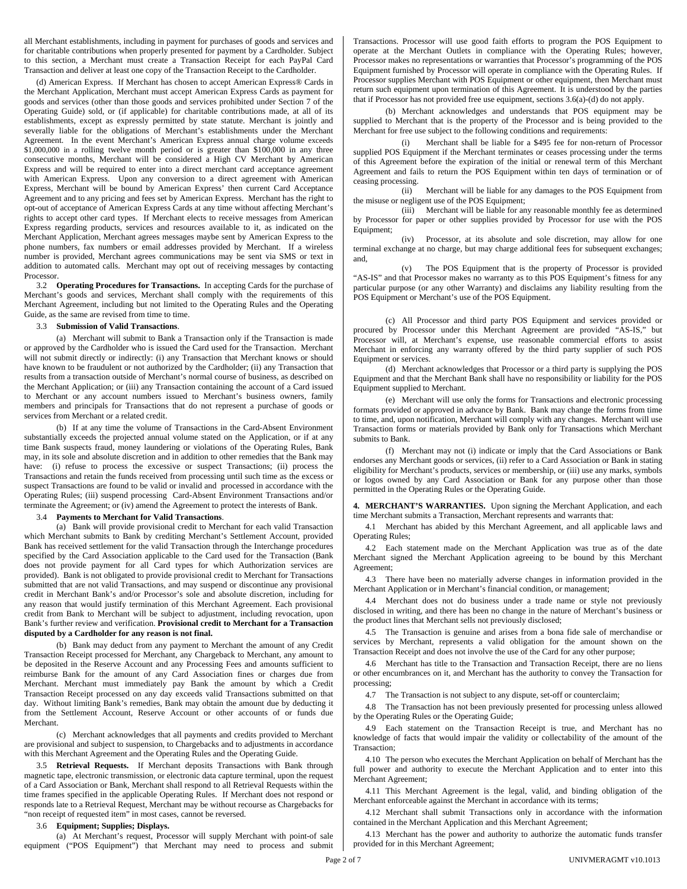all Merchant establishments, including in payment for purchases of goods and services and for charitable contributions when properly presented for payment by a Cardholder. Subject to this section, a Merchant must create a Transaction Receipt for each PayPal Card Transaction and deliver at least one copy of the Transaction Receipt to the Cardholder.

(d) American Express. If Merchant has chosen to accept American Express® Cards in the Merchant Application, Merchant must accept American Express Cards as payment for goods and services (other than those goods and services prohibited under Section 7 of the Operating Guide) sold, or (if applicable) for charitable contributions made, at all of its establishments, except as expressly permitted by state statute. Merchant is jointly and severally liable for the obligations of Merchant's establishments under the Merchant Agreement. In the event Merchant's American Express annual charge volume exceeds \$1,000,000 in a rolling twelve month period or is greater than \$100,000 in any three consecutive months, Merchant will be considered a High CV Merchant by American Express and will be required to enter into a direct merchant card acceptance agreement with American Express. Upon any conversion to a direct agreement with American Express, Merchant will be bound by American Express' then current Card Acceptance Agreement and to any pricing and fees set by American Express. Merchant has the right to opt-out of acceptance of American Express Cards at any time without affecting Merchant's rights to accept other card types. If Merchant elects to receive messages from American Express regarding products, services and resources available to it, as indicated on the Merchant Application, Merchant agrees messages maybe sent by American Express to the phone numbers, fax numbers or email addresses provided by Merchant. If a wireless number is provided, Merchant agrees communications may be sent via SMS or text in addition to automated calls. Merchant may opt out of receiving messages by contacting Processor.

3.2 **Operating Procedures for Transactions.** In accepting Cards for the purchase of Merchant's goods and services, Merchant shall comply with the requirements of this Merchant Agreement, including but not limited to the Operating Rules and the Operating Guide, as the same are revised from time to time.

### 3.3 **Submission of Valid Transactions**.

(a) Merchant will submit to Bank a Transaction only if the Transaction is made or approved by the Cardholder who is issued the Card used for the Transaction. Merchant will not submit directly or indirectly: (i) any Transaction that Merchant knows or should have known to be fraudulent or not authorized by the Cardholder; (ii) any Transaction that results from a transaction outside of Merchant's normal course of business, as described on the Merchant Application; or (iii) any Transaction containing the account of a Card issued to Merchant or any account numbers issued to Merchant's business owners, family members and principals for Transactions that do not represent a purchase of goods or services from Merchant or a related credit.

(b) If at any time the volume of Transactions in the Card-Absent Environment substantially exceeds the projected annual volume stated on the Application, or if at any time Bank suspects fraud, money laundering or violations of the Operating Rules, Bank may, in its sole and absolute discretion and in addition to other remedies that the Bank may have: (i) refuse to process the excessive or suspect Transactions; (ii) process the Transactions and retain the funds received from processing until such time as the excess or suspect Transactions are found to be valid or invalid and processed in accordance with the Operating Rules; (iii) suspend processing Card-Absent Environment Transactions and/or terminate the Agreement; or (iv) amend the Agreement to protect the interests of Bank.

## 3.4 **Payments to Merchant for Valid Transactions**.

(a) Bank will provide provisional credit to Merchant for each valid Transaction which Merchant submits to Bank by crediting Merchant's Settlement Account, provided Bank has received settlement for the valid Transaction through the Interchange procedures specified by the Card Association applicable to the Card used for the Transaction (Bank does not provide payment for all Card types for which Authorization services are provided). Bank is not obligated to provide provisional credit to Merchant for Transactions submitted that are not valid Transactions, and may suspend or discontinue any provisional credit in Merchant Bank's and/or Processor's sole and absolute discretion, including for any reason that would justify termination of this Merchant Agreement. Each provisional credit from Bank to Merchant will be subject to adjustment, including revocation, upon Bank's further review and verification. **Provisional credit to Merchant for a Transaction disputed by a Cardholder for any reason is not final.**

(b) Bank may deduct from any payment to Merchant the amount of any Credit Transaction Receipt processed for Merchant, any Chargeback to Merchant, any amount to be deposited in the Reserve Account and any Processing Fees and amounts sufficient to reimburse Bank for the amount of any Card Association fines or charges due from Merchant. Merchant must immediately pay Bank the amount by which a Credit Transaction Receipt processed on any day exceeds valid Transactions submitted on that day. Without limiting Bank's remedies, Bank may obtain the amount due by deducting it from the Settlement Account, Reserve Account or other accounts of or funds due Merchant.

(c) Merchant acknowledges that all payments and credits provided to Merchant are provisional and subject to suspension, to Chargebacks and to adjustments in accordance with this Merchant Agreement and the Operating Rules and the Operating Guide.

3.5 **Retrieval Requests.** If Merchant deposits Transactions with Bank through magnetic tape, electronic transmission, or electronic data capture terminal, upon the request of a Card Association or Bank, Merchant shall respond to all Retrieval Requests within the time frames specified in the applicable Operating Rules. If Merchant does not respond or responds late to a Retrieval Request, Merchant may be without recourse as Chargebacks for "non receipt of requested item" in most cases, cannot be reversed.

### 3.6 **Equipment; Supplies; Displays.**

(a) At Merchant's request, Processor will supply Merchant with point-of sale equipment ("POS Equipment") that Merchant may need to process and submit Transactions. Processor will use good faith efforts to program the POS Equipment to operate at the Merchant Outlets in compliance with the Operating Rules; however, Processor makes no representations or warranties that Processor's programming of the POS Equipment furnished by Processor will operate in compliance with the Operating Rules. If Processor supplies Merchant with POS Equipment or other equipment, then Merchant must return such equipment upon termination of this Agreement. It is understood by the parties that if Processor has not provided free use equipment, sections 3.6(a)-(d) do not apply.

(b) Merchant acknowledges and understands that POS equipment may be supplied to Merchant that is the property of the Processor and is being provided to the Merchant for free use subject to the following conditions and requirements:

(i) Merchant shall be liable for a \$495 fee for non-return of Processor supplied POS Equipment if the Merchant terminates or ceases processing under the terms of this Agreement before the expiration of the initial or renewal term of this Merchant Agreement and fails to return the POS Equipment within ten days of termination or of ceasing processing.

(ii) Merchant will be liable for any damages to the POS Equipment from the misuse or negligent use of the POS Equipment;

(iii) Merchant will be liable for any reasonable monthly fee as determined by Processor for paper or other supplies provided by Processor for use with the POS Equipment;

(iv) Processor, at its absolute and sole discretion, may allow for one terminal exchange at no charge, but may charge additional fees for subsequent exchanges; and,

(v) The POS Equipment that is the property of Processor is provided "AS-IS" and that Processor makes no warranty as to this POS Equipment's fitness for any particular purpose (or any other Warranty) and disclaims any liability resulting from the POS Equipment or Merchant's use of the POS Equipment.

(c) All Processor and third party POS Equipment and services provided or procured by Processor under this Merchant Agreement are provided "AS-IS," but Processor will, at Merchant's expense, use reasonable commercial efforts to assist Merchant in enforcing any warranty offered by the third party supplier of such POS Equipment or services.

(d) Merchant acknowledges that Processor or a third party is supplying the POS Equipment and that the Merchant Bank shall have no responsibility or liability for the POS Equipment supplied to Merchant.

(e) Merchant will use only the forms for Transactions and electronic processing formats provided or approved in advance by Bank. Bank may change the forms from time to time, and, upon notification, Merchant will comply with any changes. Merchant will use Transaction forms or materials provided by Bank only for Transactions which Merchant submits to Bank.

(f) Merchant may not (i) indicate or imply that the Card Associations or Bank endorses any Merchant goods or services, (ii) refer to a Card Association or Bank in stating eligibility for Merchant's products, services or membership, or (iii) use any marks, symbols or logos owned by any Card Association or Bank for any purpose other than those permitted in the Operating Rules or the Operating Guide.

**4. MERCHANT'S WARRANTIES.** Upon signing the Merchant Application, and each time Merchant submits a Transaction, Merchant represents and warrants that:

4.1 Merchant has abided by this Merchant Agreement, and all applicable laws and Operating Rules;

4.2 Each statement made on the Merchant Application was true as of the date Merchant signed the Merchant Application agreeing to be bound by this Merchant Agreement;

4.3 There have been no materially adverse changes in information provided in the Merchant Application or in Merchant's financial condition, or management;

4.4 Merchant does not do business under a trade name or style not previously disclosed in writing, and there has been no change in the nature of Merchant's business or the product lines that Merchant sells not previously disclosed;

4.5 The Transaction is genuine and arises from a bona fide sale of merchandise or services by Merchant, represents a valid obligation for the amount shown on the Transaction Receipt and does not involve the use of the Card for any other purpose;

4.6 Merchant has title to the Transaction and Transaction Receipt, there are no liens or other encumbrances on it, and Merchant has the authority to convey the Transaction for processing;

4.7 The Transaction is not subject to any dispute, set-off or counterclaim;

4.8 The Transaction has not been previously presented for processing unless allowed by the Operating Rules or the Operating Guide;

4.9 Each statement on the Transaction Receipt is true, and Merchant has no knowledge of facts that would impair the validity or collectability of the amount of the Transaction;

4.10 The person who executes the Merchant Application on behalf of Merchant has the full power and authority to execute the Merchant Application and to enter into this Merchant Agreement;

4.11 This Merchant Agreement is the legal, valid, and binding obligation of the Merchant enforceable against the Merchant in accordance with its terms;

4.12 Merchant shall submit Transactions only in accordance with the information contained in the Merchant Application and this Merchant Agreement;

4.13 Merchant has the power and authority to authorize the automatic funds transfer provided for in this Merchant Agreement;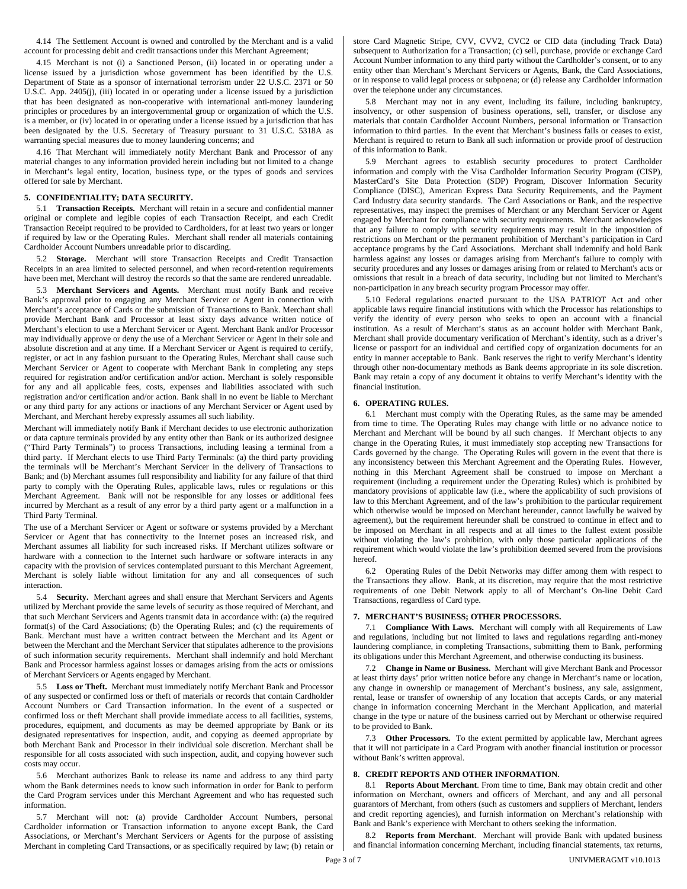4.14 The Settlement Account is owned and controlled by the Merchant and is a valid account for processing debit and credit transactions under this Merchant Agreement;

4.15 Merchant is not (i) a Sanctioned Person, (ii) located in or operating under a license issued by a jurisdiction whose government has been identified by the U.S. Department of State as a sponsor of international terrorism under 22 U.S.C. 2371 or 50 U.S.C. App. 2405(j), (iii) located in or operating under a license issued by a jurisdiction that has been designated as non-cooperative with international anti-money laundering principles or procedures by an intergovernmental group or organization of which the U.S. is a member, or (iv) located in or operating under a license issued by a jurisdiction that has been designated by the U.S. Secretary of Treasury pursuant to 31 U.S.C. 5318A as warranting special measures due to money laundering concerns; and

4.16 That Merchant will immediately notify Merchant Bank and Processor of any material changes to any information provided herein including but not limited to a change in Merchant's legal entity, location, business type, or the types of goods and services offered for sale by Merchant.

## **5. CONFIDENTIALITY; DATA SECURITY.**

5.1 **Transaction Receipts.** Merchant will retain in a secure and confidential manner original or complete and legible copies of each Transaction Receipt, and each Credit Transaction Receipt required to be provided to Cardholders, for at least two years or longer if required by law or the Operating Rules. Merchant shall render all materials containing Cardholder Account Numbers unreadable prior to discarding.

5.2 **Storage.** Merchant will store Transaction Receipts and Credit Transaction Receipts in an area limited to selected personnel, and when record-retention requirements have been met, Merchant will destroy the records so that the same are rendered unreadable.

5.3 **Merchant Servicers and Agents.** Merchant must notify Bank and receive Bank's approval prior to engaging any Merchant Servicer or Agent in connection with Merchant's acceptance of Cards or the submission of Transactions to Bank. Merchant shall provide Merchant Bank and Processor at least sixty days advance written notice of Merchant's election to use a Merchant Servicer or Agent. Merchant Bank and/or Processor may individually approve or deny the use of a Merchant Servicer or Agent in their sole and absolute discretion and at any time. If a Merchant Servicer or Agent is required to certify, register, or act in any fashion pursuant to the Operating Rules, Merchant shall cause such Merchant Servicer or Agent to cooperate with Merchant Bank in completing any steps required for registration and/or certification and/or action. Merchant is solely responsible for any and all applicable fees, costs, expenses and liabilities associated with such registration and/or certification and/or action. Bank shall in no event be liable to Merchant or any third party for any actions or inactions of any Merchant Servicer or Agent used by Merchant, and Merchant hereby expressly assumes all such liability.

Merchant will immediately notify Bank if Merchant decides to use electronic authorization or data capture terminals provided by any entity other than Bank or its authorized designee ("Third Party Terminals") to process Transactions, including leasing a terminal from a third party. If Merchant elects to use Third Party Terminals: (a) the third party providing the terminals will be Merchant's Merchant Servicer in the delivery of Transactions to Bank; and (b) Merchant assumes full responsibility and liability for any failure of that third party to comply with the Operating Rules, applicable laws, rules or regulations or this Merchant Agreement. Bank will not be responsible for any losses or additional fees incurred by Merchant as a result of any error by a third party agent or a malfunction in a Third Party Terminal.

The use of a Merchant Servicer or Agent or software or systems provided by a Merchant Servicer or Agent that has connectivity to the Internet poses an increased risk, and Merchant assumes all liability for such increased risks. If Merchant utilizes software or hardware with a connection to the Internet such hardware or software interacts in any capacity with the provision of services contemplated pursuant to this Merchant Agreement, Merchant is solely liable without limitation for any and all consequences of such interaction.

5.4 **Security.** Merchant agrees and shall ensure that Merchant Servicers and Agents utilized by Merchant provide the same levels of security as those required of Merchant, and that such Merchant Servicers and Agents transmit data in accordance with: (a) the required format(s) of the Card Associations; (b) the Operating Rules; and (c) the requirements of Bank. Merchant must have a written contract between the Merchant and its Agent or between the Merchant and the Merchant Servicer that stipulates adherence to the provisions of such information security requirements. Merchant shall indemnify and hold Merchant Bank and Processor harmless against losses or damages arising from the acts or omissions of Merchant Servicers or Agents engaged by Merchant.

5.5 **Loss or Theft.** Merchant must immediately notify Merchant Bank and Processor of any suspected or confirmed loss or theft of materials or records that contain Cardholder Account Numbers or Card Transaction information. In the event of a suspected or confirmed loss or theft Merchant shall provide immediate access to all facilities, systems, procedures, equipment, and documents as may be deemed appropriate by Bank or its designated representatives for inspection, audit, and copying as deemed appropriate by both Merchant Bank and Processor in their individual sole discretion. Merchant shall be responsible for all costs associated with such inspection, audit, and copying however such costs may occur.

5.6 Merchant authorizes Bank to release its name and address to any third party whom the Bank determines needs to know such information in order for Bank to perform the Card Program services under this Merchant Agreement and who has requested such information.

5.7 Merchant will not: (a) provide Cardholder Account Numbers, personal Cardholder information or Transaction information to anyone except Bank, the Card Associations, or Merchant's Merchant Servicers or Agents for the purpose of assisting Merchant in completing Card Transactions, or as specifically required by law; (b) retain or store Card Magnetic Stripe, CVV, CVV2, CVC2 or CID data (including Track Data) subsequent to Authorization for a Transaction; (c) sell, purchase, provide or exchange Card Account Number information to any third party without the Cardholder's consent, or to any entity other than Merchant's Merchant Servicers or Agents, Bank, the Card Associations, or in response to valid legal process or subpoena; or (d) release any Cardholder information over the telephone under any circumstances.

5.8 Merchant may not in any event, including its failure, including bankruptcy, insolvency, or other suspension of business operations, sell, transfer, or disclose any materials that contain Cardholder Account Numbers, personal information or Transaction information to third parties. In the event that Merchant's business fails or ceases to exist, Merchant is required to return to Bank all such information or provide proof of destruction of this information to Bank.

5.9 Merchant agrees to establish security procedures to protect Cardholder information and comply with the Visa Cardholder Information Security Program (CISP), MasterCard's Site Data Protection (SDP) Program, Discover Information Security Compliance (DISC), American Express Data Security Requirements, and the Payment Card Industry data security standards. The Card Associations or Bank, and the respective representatives, may inspect the premises of Merchant or any Merchant Servicer or Agent engaged by Merchant for compliance with security requirements. Merchant acknowledges that any failure to comply with security requirements may result in the imposition of restrictions on Merchant or the permanent prohibition of Merchant's participation in Card acceptance programs by the Card Associations. Merchant shall indemnify and hold Bank harmless against any losses or damages arising from Merchant's failure to comply with security procedures and any losses or damages arising from or related to Merchant's acts or omissions that result in a breach of data security, including but not limited to Merchant's non-participation in any breach security program Processor may offer.

5.10 Federal regulations enacted pursuant to the USA PATRIOT Act and other applicable laws require financial institutions with which the Processor has relationships to verify the identity of every person who seeks to open an account with a financial institution. As a result of Merchant's status as an account holder with Merchant Bank, Merchant shall provide documentary verification of Merchant's identity, such as a driver's license or passport for an individual and certified copy of organization documents for an entity in manner acceptable to Bank. Bank reserves the right to verify Merchant's identity through other non-documentary methods as Bank deems appropriate in its sole discretion. Bank may retain a copy of any document it obtains to verify Merchant's identity with the financial institution.

#### **6. OPERATING RULES.**

6.1 Merchant must comply with the Operating Rules, as the same may be amended from time to time. The Operating Rules may change with little or no advance notice to Merchant and Merchant will be bound by all such changes. If Merchant objects to any change in the Operating Rules, it must immediately stop accepting new Transactions for Cards governed by the change. The Operating Rules will govern in the event that there is any inconsistency between this Merchant Agreement and the Operating Rules. However, nothing in this Merchant Agreement shall be construed to impose on Merchant a requirement (including a requirement under the Operating Rules) which is prohibited by mandatory provisions of applicable law (i.e., where the applicability of such provisions of law to this Merchant Agreement, and of the law's prohibition to the particular requirement which otherwise would be imposed on Merchant hereunder, cannot lawfully be waived by agreement), but the requirement hereunder shall be construed to continue in effect and to be imposed on Merchant in all respects and at all times to the fullest extent possible without violating the law's prohibition, with only those particular applications of the requirement which would violate the law's prohibition deemed severed from the provisions hereof.

6.2 Operating Rules of the Debit Networks may differ among them with respect to the Transactions they allow. Bank, at its discretion, may require that the most restrictive requirements of one Debit Network apply to all of Merchant's On-line Debit Card Transactions, regardless of Card type.

### **7. MERCHANT'S BUSINESS; OTHER PROCESSORS.**

7.1 **Compliance With Laws.** Merchant will comply with all Requirements of Law and regulations, including but not limited to laws and regulations regarding anti-money laundering compliance, in completing Transactions, submitting them to Bank, performing its obligations under this Merchant Agreement, and otherwise conducting its business.

7.2 **Change in Name or Business.** Merchant will give Merchant Bank and Processor at least thirty days' prior written notice before any change in Merchant's name or location, any change in ownership or management of Merchant's business, any sale, assignment, rental, lease or transfer of ownership of any location that accepts Cards, or any material change in information concerning Merchant in the Merchant Application, and material change in the type or nature of the business carried out by Merchant or otherwise required to be provided to Bank.

7.3 **Other Processors.** To the extent permitted by applicable law, Merchant agrees that it will not participate in a Card Program with another financial institution or processor without Bank's written approval.

### **8. CREDIT REPORTS AND OTHER INFORMATION.**

8.1 **Reports About Merchant**. From time to time, Bank may obtain credit and other information on Merchant, owners and officers of Merchant, and any and all personal guarantors of Merchant, from others (such as customers and suppliers of Merchant, lenders and credit reporting agencies), and furnish information on Merchant's relationship with Bank and Bank's experience with Merchant to others seeking the information.

8.2 **Reports from Merchant**. Merchant will provide Bank with updated business and financial information concerning Merchant, including financial statements, tax returns,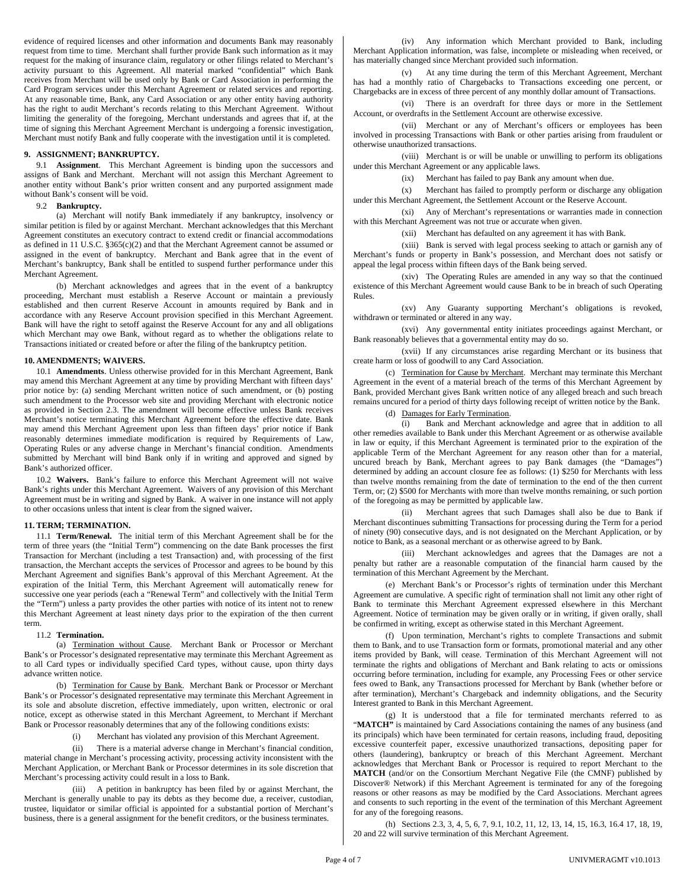evidence of required licenses and other information and documents Bank may reasonably request from time to time. Merchant shall further provide Bank such information as it may request for the making of insurance claim, regulatory or other filings related to Merchant's activity pursuant to this Agreement. All material marked "confidential" which Bank receives from Merchant will be used only by Bank or Card Association in performing the Card Program services under this Merchant Agreement or related services and reporting. At any reasonable time, Bank, any Card Association or any other entity having authority has the right to audit Merchant's records relating to this Merchant Agreement. Without limiting the generality of the foregoing, Merchant understands and agrees that if, at the time of signing this Merchant Agreement Merchant is undergoing a forensic investigation, Merchant must notify Bank and fully cooperate with the investigation until it is completed.

### **9. ASSIGNMENT; BANKRUPTCY.**

9.1 **Assignment**. This Merchant Agreement is binding upon the successors and assigns of Bank and Merchant. Merchant will not assign this Merchant Agreement to another entity without Bank's prior written consent and any purported assignment made without Bank's consent will be void.

## 9.2 **Bankruptcy.**

(a) Merchant will notify Bank immediately if any bankruptcy, insolvency or similar petition is filed by or against Merchant. Merchant acknowledges that this Merchant Agreement constitutes an executory contract to extend credit or financial accommodations as defined in 11 U.S.C. §365(c)(2) and that the Merchant Agreement cannot be assumed or assigned in the event of bankruptcy. Merchant and Bank agree that in the event of Merchant's bankruptcy, Bank shall be entitled to suspend further performance under this Merchant Agreement.

(b) Merchant acknowledges and agrees that in the event of a bankruptcy proceeding, Merchant must establish a Reserve Account or maintain a previously established and then current Reserve Account in amounts required by Bank and in accordance with any Reserve Account provision specified in this Merchant Agreement. Bank will have the right to setoff against the Reserve Account for any and all obligations which Merchant may owe Bank, without regard as to whether the obligations relate to Transactions initiated or created before or after the filing of the bankruptcy petition.

#### **10. AMENDMENTS; WAIVERS.**

10.1 **Amendments**. Unless otherwise provided for in this Merchant Agreement, Bank may amend this Merchant Agreement at any time by providing Merchant with fifteen days' prior notice by: (a) sending Merchant written notice of such amendment, or (b) posting such amendment to the Processor web site and providing Merchant with electronic notice as provided in Section 2.3. The amendment will become effective unless Bank receives Merchant's notice terminating this Merchant Agreement before the effective date. Bank may amend this Merchant Agreement upon less than fifteen days' prior notice if Bank reasonably determines immediate modification is required by Requirements of Law, Operating Rules or any adverse change in Merchant's financial condition. Amendments submitted by Merchant will bind Bank only if in writing and approved and signed by Bank's authorized officer.

10.2 **Waivers.** Bank's failure to enforce this Merchant Agreement will not waive Bank's rights under this Merchant Agreement. Waivers of any provision of this Merchant Agreement must be in writing and signed by Bank. A waiver in one instance will not apply to other occasions unless that intent is clear from the signed waiver**.** 

### **11. TERM; TERMINATION.**

11.1 **Term/Renewal.** The initial term of this Merchant Agreement shall be for the term of three years (the "Initial Term") commencing on the date Bank processes the first Transaction for Merchant (including a test Transaction) and, with processing of the first transaction, the Merchant accepts the services of Processor and agrees to be bound by this Merchant Agreement and signifies Bank's approval of this Merchant Agreement. At the expiration of the Initial Term, this Merchant Agreement will automatically renew for successive one year periods (each a "Renewal Term" and collectively with the Initial Term the "Term") unless a party provides the other parties with notice of its intent not to renew this Merchant Agreement at least ninety days prior to the expiration of the then current term.

#### 11.2 **Termination.**

(a) Termination without Cause. Merchant Bank or Processor or Merchant Bank's or Processor's designated representative may terminate this Merchant Agreement as to all Card types or individually specified Card types, without cause, upon thirty days advance written notice.

(b) Termination for Cause by Bank. Merchant Bank or Processor or Merchant Bank's or Processor's designated representative may terminate this Merchant Agreement in its sole and absolute discretion, effective immediately, upon written, electronic or oral notice, except as otherwise stated in this Merchant Agreement, to Merchant if Merchant Bank or Processor reasonably determines that any of the following conditions exists:

(i) Merchant has violated any provision of this Merchant Agreement.

(ii) There is a material adverse change in Merchant's financial condition, material change in Merchant's processing activity, processing activity inconsistent with the Merchant Application, or Merchant Bank or Processor determines in its sole discretion that Merchant's processing activity could result in a loss to Bank.

(iii) A petition in bankruptcy has been filed by or against Merchant, the Merchant is generally unable to pay its debts as they become due, a receiver, custodian, trustee, liquidator or similar official is appointed for a substantial portion of Merchant's business, there is a general assignment for the benefit creditors, or the business terminates.

(iv) Any information which Merchant provided to Bank, including Merchant Application information, was false, incomplete or misleading when received, or has materially changed since Merchant provided such information.

(v) At any time during the term of this Merchant Agreement, Merchant has had a monthly ratio of Chargebacks to Transactions exceeding one percent, or Chargebacks are in excess of three percent of any monthly dollar amount of Transactions.

(vi) There is an overdraft for three days or more in the Settlement Account, or overdrafts in the Settlement Account are otherwise excessive.

(vii) Merchant or any of Merchant's officers or employees has been involved in processing Transactions with Bank or other parties arising from fraudulent or otherwise unauthorized transactions.

(viii) Merchant is or will be unable or unwilling to perform its obligations under this Merchant Agreement or any applicable laws.

(ix) Merchant has failed to pay Bank any amount when due.

(x) Merchant has failed to promptly perform or discharge any obligation under this Merchant Agreement, the Settlement Account or the Reserve Account.

(xi) Any of Merchant's representations or warranties made in connection with this Merchant Agreement was not true or accurate when given.

(xii) Merchant has defaulted on any agreement it has with Bank.

(xiii) Bank is served with legal process seeking to attach or garnish any of Merchant's funds or property in Bank's possession, and Merchant does not satisfy or appeal the legal process within fifteen days of the Bank being served.

(xiv) The Operating Rules are amended in any way so that the continued existence of this Merchant Agreement would cause Bank to be in breach of such Operating Rules.

(xv) Any Guaranty supporting Merchant's obligations is revoked, withdrawn or terminated or altered in any way.

(xvi) Any governmental entity initiates proceedings against Merchant, or Bank reasonably believes that a governmental entity may do so.

(xvii) If any circumstances arise regarding Merchant or its business that create harm or loss of goodwill to any Card Association.

(c) Termination for Cause by Merchant. Merchant may terminate this Merchant Agreement in the event of a material breach of the terms of this Merchant Agreement by Bank, provided Merchant gives Bank written notice of any alleged breach and such breach remains uncured for a period of thirty days following receipt of written notice by the Bank.

(d) Damages for Early Termination.

(i) Bank and Merchant acknowledge and agree that in addition to all other remedies available to Bank under this Merchant Agreement or as otherwise available in law or equity, if this Merchant Agreement is terminated prior to the expiration of the applicable Term of the Merchant Agreement for any reason other than for a material, uncured breach by Bank, Merchant agrees to pay Bank damages (the "Damages") determined by adding an account closure fee as follows: (1) \$250 for Merchants with less than twelve months remaining from the date of termination to the end of the then current Term, or; (2) \$500 for Merchants with more than twelve months remaining, or such portion of the foregoing as may be permitted by applicable law.

(ii) Merchant agrees that such Damages shall also be due to Bank if Merchant discontinues submitting Transactions for processing during the Term for a period of ninety (90) consecutive days, and is not designated on the Merchant Application, or by notice to Bank, as a seasonal merchant or as otherwise agreed to by Bank.

(iii) Merchant acknowledges and agrees that the Damages are not a penalty but rather are a reasonable computation of the financial harm caused by the termination of this Merchant Agreement by the Merchant.

(e) Merchant Bank's or Processor's rights of termination under this Merchant Agreement are cumulative. A specific right of termination shall not limit any other right of Bank to terminate this Merchant Agreement expressed elsewhere in this Merchant Agreement. Notice of termination may be given orally or in writing, if given orally, shall be confirmed in writing, except as otherwise stated in this Merchant Agreement.

(f) Upon termination, Merchant's rights to complete Transactions and submit them to Bank, and to use Transaction form or formats, promotional material and any other items provided by Bank, will cease. Termination of this Merchant Agreement will not terminate the rights and obligations of Merchant and Bank relating to acts or omissions occurring before termination, including for example, any Processing Fees or other service fees owed to Bank, any Transactions processed for Merchant by Bank (whether before or after termination), Merchant's Chargeback and indemnity obligations, and the Security Interest granted to Bank in this Merchant Agreement.

(g) It is understood that a file for terminated merchants referred to as "MATCH" is maintained by Card Associations containing the names of any business (and its principals) which have been terminated for certain reasons, including fraud, depositing excessive counterfeit paper, excessive unauthorized transactions, depositing paper for others (laundering), bankruptcy or breach of this Merchant Agreement. Merchant acknowledges that Merchant Bank or Processor is required to report Merchant to the **MATCH** (and/or on the Consortium Merchant Negative File (the CMNF) published by Discover® Network) if this Merchant Agreement is terminated for any of the foregoing reasons or other reasons as may be modified by the Card Associations. Merchant agrees and consents to such reporting in the event of the termination of this Merchant Agreement for any of the foregoing reasons.

(h) Sections 2.3, 3, 4, 5, 6, 7, 9.1, 10.2, 11, 12, 13, 14, 15, 16.3, 16.4 17, 18, 19, 20 and 22 will survive termination of this Merchant Agreement.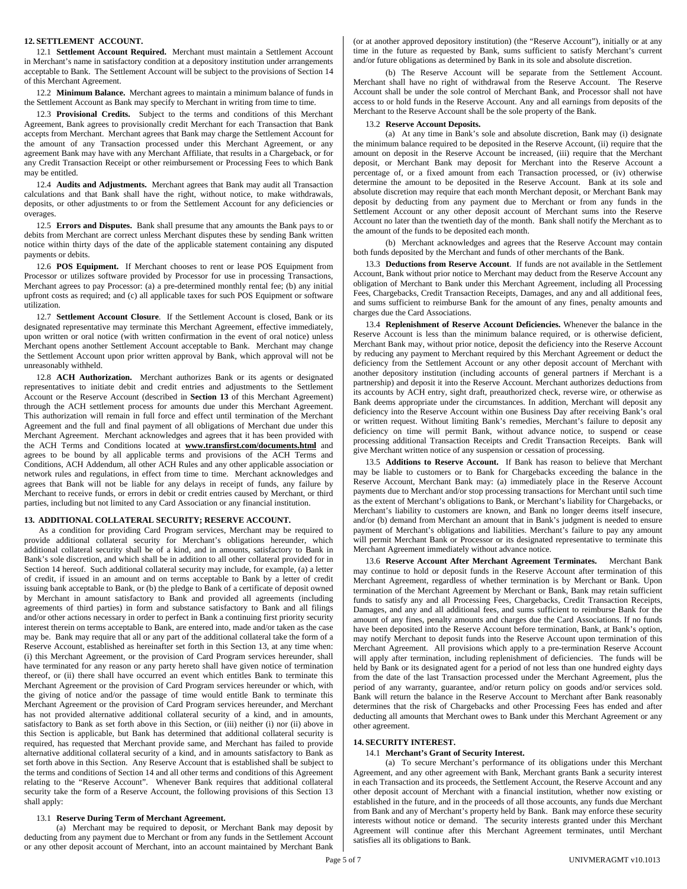### **12. SETTLEMENT ACCOUNT.**

12.1 **Settlement Account Required.** Merchant must maintain a Settlement Account in Merchant's name in satisfactory condition at a depository institution under arrangements acceptable to Bank. The Settlement Account will be subject to the provisions of Section 14 of this Merchant Agreement.

12.2 **Minimum Balance.** Merchant agrees to maintain a minimum balance of funds in the Settlement Account as Bank may specify to Merchant in writing from time to time.

12.3 **Provisional Credits.** Subject to the terms and conditions of this Merchant Agreement, Bank agrees to provisionally credit Merchant for each Transaction that Bank accepts from Merchant. Merchant agrees that Bank may charge the Settlement Account for the amount of any Transaction processed under this Merchant Agreement, or any agreement Bank may have with any Merchant Affiliate, that results in a Chargeback, or for any Credit Transaction Receipt or other reimbursement or Processing Fees to which Bank may be entitled.

12.4 **Audits and Adjustments.** Merchant agrees that Bank may audit all Transaction calculations and that Bank shall have the right, without notice, to make withdrawals, deposits, or other adjustments to or from the Settlement Account for any deficiencies or overages.

12.5 **Errors and Disputes.** Bank shall presume that any amounts the Bank pays to or debits from Merchant are correct unless Merchant disputes these by sending Bank written notice within thirty days of the date of the applicable statement containing any disputed payments or debits.

12.6 **POS Equipment.** If Merchant chooses to rent or lease POS Equipment from Processor or utilizes software provided by Processor for use in processing Transactions, Merchant agrees to pay Processor: (a) a pre-determined monthly rental fee; (b) any initial upfront costs as required; and (c) all applicable taxes for such POS Equipment or software utilization.

12.7 **Settlement Account Closure**. If the Settlement Account is closed, Bank or its designated representative may terminate this Merchant Agreement, effective immediately, upon written or oral notice (with written confirmation in the event of oral notice) unless Merchant opens another Settlement Account acceptable to Bank. Merchant may change the Settlement Account upon prior written approval by Bank, which approval will not be unreasonably withheld.

12.8 **ACH Authorization.** Merchant authorizes Bank or its agents or designated representatives to initiate debit and credit entries and adjustments to the Settlement Account or the Reserve Account (described in **Section 13** of this Merchant Agreement) through the ACH settlement process for amounts due under this Merchant Agreement. This authorization will remain in full force and effect until termination of the Merchant Agreement and the full and final payment of all obligations of Merchant due under this Merchant Agreement. Merchant acknowledges and agrees that it has been provided with the ACH Terms and Conditions located at **www.transfirst.com/documents.html** and agrees to be bound by all applicable terms and provisions of the ACH Terms and Conditions, ACH Addendum, all other ACH Rules and any other applicable association or network rules and regulations, in effect from time to time. Merchant acknowledges and agrees that Bank will not be liable for any delays in receipt of funds, any failure by Merchant to receive funds, or errors in debit or credit entries caused by Merchant, or third parties, including but not limited to any Card Association or any financial institution.

### **13. ADDITIONAL COLLATERAL SECURITY; RESERVE ACCOUNT.**

 As a condition for providing Card Program services, Merchant may be required to provide additional collateral security for Merchant's obligations hereunder, which additional collateral security shall be of a kind, and in amounts, satisfactory to Bank in Bank's sole discretion, and which shall be in addition to all other collateral provided for in Section 14 hereof. Such additional collateral security may include, for example, (a) a letter of credit, if issued in an amount and on terms acceptable to Bank by a letter of credit issuing bank acceptable to Bank, or (b) the pledge to Bank of a certificate of deposit owned by Merchant in amount satisfactory to Bank and provided all agreements (including agreements of third parties) in form and substance satisfactory to Bank and all filings and/or other actions necessary in order to perfect in Bank a continuing first priority security interest therein on terms acceptable to Bank, are entered into, made and/or taken as the case may be. Bank may require that all or any part of the additional collateral take the form of a Reserve Account, established as hereinafter set forth in this Section 13, at any time when: (i) this Merchant Agreement, or the provision of Card Program services hereunder, shall have terminated for any reason or any party hereto shall have given notice of termination thereof, or (ii) there shall have occurred an event which entitles Bank to terminate this Merchant Agreement or the provision of Card Program services hereunder or which, with the giving of notice and/or the passage of time would entitle Bank to terminate this Merchant Agreement or the provision of Card Program services hereunder, and Merchant has not provided alternative additional collateral security of a kind, and in amounts, satisfactory to Bank as set forth above in this Section, or (iii) neither (i) nor (ii) above in this Section is applicable, but Bank has determined that additional collateral security is required, has requested that Merchant provide same, and Merchant has failed to provide alternative additional collateral security of a kind, and in amounts satisfactory to Bank as set forth above in this Section. Any Reserve Account that is established shall be subject to the terms and conditions of Section 14 and all other terms and conditions of this Agreement relating to the "Reserve Account". Whenever Bank requires that additional collateral security take the form of a Reserve Account, the following provisions of this Section 13 shall apply:

### 13.1 **Reserve During Term of Merchant Agreement.**

(a) Merchant may be required to deposit, or Merchant Bank may deposit by deducting from any payment due to Merchant or from any funds in the Settlement Account or any other deposit account of Merchant, into an account maintained by Merchant Bank

(or at another approved depository institution) (the "Reserve Account"), initially or at any time in the future as requested by Bank, sums sufficient to satisfy Merchant's current and/or future obligations as determined by Bank in its sole and absolute discretion.

(b) The Reserve Account will be separate from the Settlement Account. Merchant shall have no right of withdrawal from the Reserve Account. The Reserve Account shall be under the sole control of Merchant Bank, and Processor shall not have access to or hold funds in the Reserve Account. Any and all earnings from deposits of the Merchant to the Reserve Account shall be the sole property of the Bank.

## 13.2 **Reserve Account Deposits.**

(a) At any time in Bank's sole and absolute discretion, Bank may (i) designate the minimum balance required to be deposited in the Reserve Account, (ii) require that the amount on deposit in the Reserve Account be increased, (iii) require that the Merchant deposit, or Merchant Bank may deposit for Merchant into the Reserve Account a percentage of, or a fixed amount from each Transaction processed, or (iv) otherwise determine the amount to be deposited in the Reserve Account. Bank at its sole and absolute discretion may require that each month Merchant deposit, or Merchant Bank may deposit by deducting from any payment due to Merchant or from any funds in the Settlement Account or any other deposit account of Merchant sums into the Reserve Account no later than the twentieth day of the month. Bank shall notify the Merchant as to the amount of the funds to be deposited each month.

(b) Merchant acknowledges and agrees that the Reserve Account may contain both funds deposited by the Merchant and funds of other merchants of the Bank.

13.3 **Deductions from Reserve Account**. If funds are not available in the Settlement Account, Bank without prior notice to Merchant may deduct from the Reserve Account any obligation of Merchant to Bank under this Merchant Agreement, including all Processing Fees, Chargebacks, Credit Transaction Receipts, Damages, and any and all additional fees, and sums sufficient to reimburse Bank for the amount of any fines, penalty amounts and charges due the Card Associations.

13.4 **Replenishment of Reserve Account Deficiencies.** Whenever the balance in the Reserve Account is less than the minimum balance required, or is otherwise deficient, Merchant Bank may, without prior notice, deposit the deficiency into the Reserve Account by reducing any payment to Merchant required by this Merchant Agreement or deduct the deficiency from the Settlement Account or any other deposit account of Merchant with another depository institution (including accounts of general partners if Merchant is a partnership) and deposit it into the Reserve Account. Merchant authorizes deductions from its accounts by ACH entry, sight draft, preauthorized check, reverse wire, or otherwise as Bank deems appropriate under the circumstances. In addition, Merchant will deposit any deficiency into the Reserve Account within one Business Day after receiving Bank's oral or written request. Without limiting Bank's remedies, Merchant's failure to deposit any deficiency on time will permit Bank, without advance notice, to suspend or cease processing additional Transaction Receipts and Credit Transaction Receipts. Bank will give Merchant written notice of any suspension or cessation of processing.

13.5 **Additions to Reserve Account.** If Bank has reason to believe that Merchant may be liable to customers or to Bank for Chargebacks exceeding the balance in the Reserve Account, Merchant Bank may: (a) immediately place in the Reserve Account payments due to Merchant and/or stop processing transactions for Merchant until such time as the extent of Merchant's obligations to Bank, or Merchant's liability for Chargebacks, or Merchant's liability to customers are known, and Bank no longer deems itself insecure, and/or (b) demand from Merchant an amount that in Bank's judgment is needed to ensure payment of Merchant's obligations and liabilities. Merchant's failure to pay any amount will permit Merchant Bank or Processor or its designated representative to terminate this Merchant Agreement immediately without advance notice.

13.6 **Reserve Account After Merchant Agreement Terminates.** Merchant Bank may continue to hold or deposit funds in the Reserve Account after termination of this Merchant Agreement, regardless of whether termination is by Merchant or Bank. Upon termination of the Merchant Agreement by Merchant or Bank, Bank may retain sufficient funds to satisfy any and all Processing Fees, Chargebacks, Credit Transaction Receipts, Damages, and any and all additional fees, and sums sufficient to reimburse Bank for the amount of any fines, penalty amounts and charges due the Card Associations. If no funds have been deposited into the Reserve Account before termination, Bank, at Bank's option, may notify Merchant to deposit funds into the Reserve Account upon termination of this Merchant Agreement. All provisions which apply to a pre-termination Reserve Account will apply after termination, including replenishment of deficiencies. The funds will be held by Bank or its designated agent for a period of not less than one hundred eighty days from the date of the last Transaction processed under the Merchant Agreement, plus the period of any warranty, guarantee, and/or return policy on goods and/or services sold. Bank will return the balance in the Reserve Account to Merchant after Bank reasonably determines that the risk of Chargebacks and other Processing Fees has ended and after deducting all amounts that Merchant owes to Bank under this Merchant Agreement or any other agreement.

#### **14. SECURITY INTEREST.**

## 14.1 **Merchant's Grant of Security Interest.**

(a) To secure Merchant's performance of its obligations under this Merchant Agreement, and any other agreement with Bank, Merchant grants Bank a security interest in each Transaction and its proceeds, the Settlement Account, the Reserve Account and any other deposit account of Merchant with a financial institution, whether now existing or established in the future, and in the proceeds of all those accounts, any funds due Merchant from Bank and any of Merchant's property held by Bank. Bank may enforce these security interests without notice or demand. The security interests granted under this Merchant Agreement will continue after this Merchant Agreement terminates, until Merchant satisfies all its obligations to Bank.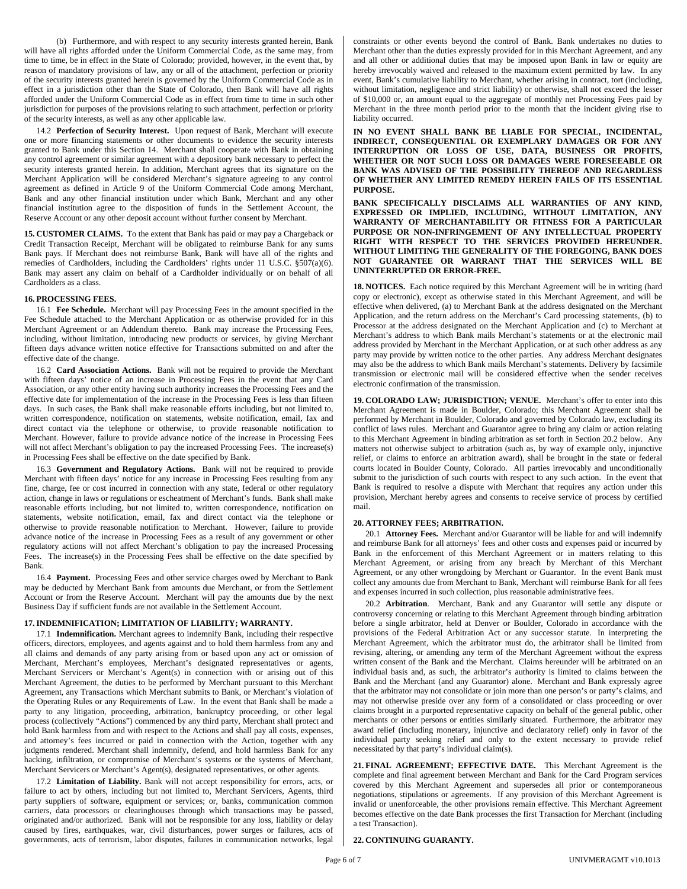(b) Furthermore, and with respect to any security interests granted herein, Bank will have all rights afforded under the Uniform Commercial Code, as the same may, from time to time, be in effect in the State of Colorado; provided, however, in the event that, by reason of mandatory provisions of law, any or all of the attachment, perfection or priority of the security interests granted herein is governed by the Uniform Commercial Code as in effect in a jurisdiction other than the State of Colorado, then Bank will have all rights afforded under the Uniform Commercial Code as in effect from time to time in such other jurisdiction for purposes of the provisions relating to such attachment, perfection or priority of the security interests, as well as any other applicable law.

14.2 **Perfection of Security Interest.** Upon request of Bank, Merchant will execute one or more financing statements or other documents to evidence the security interests granted to Bank under this Section 14. Merchant shall cooperate with Bank in obtaining any control agreement or similar agreement with a depository bank necessary to perfect the security interests granted herein. In addition, Merchant agrees that its signature on the Merchant Application will be considered Merchant's signature agreeing to any control agreement as defined in Article 9 of the Uniform Commercial Code among Merchant, Bank and any other financial institution under which Bank, Merchant and any other financial institution agree to the disposition of funds in the Settlement Account, the Reserve Account or any other deposit account without further consent by Merchant.

**15. CUSTOMER CLAIMS.** To the extent that Bank has paid or may pay a Chargeback or Credit Transaction Receipt, Merchant will be obligated to reimburse Bank for any sums Bank pays. If Merchant does not reimburse Bank, Bank will have all of the rights and remedies of Cardholders, including the Cardholders' rights under 11 U.S.C. §507(a)(6). Bank may assert any claim on behalf of a Cardholder individually or on behalf of all Cardholders as a class.

### **16. PROCESSING FEES.**

16.1 **Fee Schedule.** Merchant will pay Processing Fees in the amount specified in the Fee Schedule attached to the Merchant Application or as otherwise provided for in this Merchant Agreement or an Addendum thereto. Bank may increase the Processing Fees, including, without limitation, introducing new products or services, by giving Merchant fifteen days advance written notice effective for Transactions submitted on and after the effective date of the change.

16.2 **Card Association Actions.** Bank will not be required to provide the Merchant with fifteen days' notice of an increase in Processing Fees in the event that any Card Association, or any other entity having such authority increases the Processing Fees and the effective date for implementation of the increase in the Processing Fees is less than fifteen days. In such cases, the Bank shall make reasonable efforts including, but not limited to, written correspondence, notification on statements, website notification, email, fax and direct contact via the telephone or otherwise, to provide reasonable notification to Merchant. However, failure to provide advance notice of the increase in Processing Fees will not affect Merchant's obligation to pay the increased Processing Fees. The increase(s) in Processing Fees shall be effective on the date specified by Bank.

16.3 **Government and Regulatory Actions.** Bank will not be required to provide Merchant with fifteen days' notice for any increase in Processing Fees resulting from any fine, charge, fee or cost incurred in connection with any state, federal or other regulatory action, change in laws or regulations or escheatment of Merchant's funds. Bank shall make reasonable efforts including, but not limited to, written correspondence, notification on statements, website notification, email, fax and direct contact via the telephone or otherwise to provide reasonable notification to Merchant. However, failure to provide advance notice of the increase in Processing Fees as a result of any government or other regulatory actions will not affect Merchant's obligation to pay the increased Processing Fees. The increase(s) in the Processing Fees shall be effective on the date specified by Bank.

16.4 **Payment.** Processing Fees and other service charges owed by Merchant to Bank may be deducted by Merchant Bank from amounts due Merchant, or from the Settlement Account or from the Reserve Account. Merchant will pay the amounts due by the next Business Day if sufficient funds are not available in the Settlement Account.

### **17.INDEMNIFICATION; LIMITATION OF LIABILITY; WARRANTY.**

17.1 **Indemnification.** Merchant agrees to indemnify Bank, including their respective officers, directors, employees, and agents against and to hold them harmless from any and all claims and demands of any party arising from or based upon any act or omission of Merchant, Merchant's employees, Merchant's designated representatives or agents, Merchant Servicers or Merchant's Agent(s) in connection with or arising out of this Merchant Agreement, the duties to be performed by Merchant pursuant to this Merchant Agreement, any Transactions which Merchant submits to Bank, or Merchant's violation of the Operating Rules or any Requirements of Law. In the event that Bank shall be made a party to any litigation, proceeding, arbitration, bankruptcy proceeding, or other legal process (collectively "Actions") commenced by any third party, Merchant shall protect and hold Bank harmless from and with respect to the Actions and shall pay all costs, expenses, and attorney's fees incurred or paid in connection with the Action, together with any judgments rendered. Merchant shall indemnify, defend, and hold harmless Bank for any hacking, infiltration, or compromise of Merchant's systems or the systems of Merchant, Merchant Servicers or Merchant's Agent(s), designated representatives, or other agents.

17.2 **Limitation of Liability.** Bank will not accept responsibility for errors, acts, or failure to act by others, including but not limited to, Merchant Servicers, Agents, third party suppliers of software, equipment or services; or, banks, communication common carriers, data processors or clearinghouses through which transactions may be passed, originated and/or authorized. Bank will not be responsible for any loss, liability or delay caused by fires, earthquakes, war, civil disturbances, power surges or failures, acts of governments, acts of terrorism, labor disputes, failures in communication networks, legal constraints or other events beyond the control of Bank. Bank undertakes no duties to Merchant other than the duties expressly provided for in this Merchant Agreement, and any and all other or additional duties that may be imposed upon Bank in law or equity are hereby irrevocably waived and released to the maximum extent permitted by law. In any event, Bank's cumulative liability to Merchant, whether arising in contract, tort (including, without limitation, negligence and strict liability) or otherwise, shall not exceed the lesser of \$10,000 or, an amount equal to the aggregate of monthly net Processing Fees paid by Merchant in the three month period prior to the month that the incident giving rise to liability occurred.

**IN NO EVENT SHALL BANK BE LIABLE FOR SPECIAL, INCIDENTAL, INDIRECT, CONSEQUENTIAL OR EXEMPLARY DAMAGES OR FOR ANY INTERRUPTION OR LOSS OF USE, DATA, BUSINESS OR PROFITS, WHETHER OR NOT SUCH LOSS OR DAMAGES WERE FORESEEABLE OR BANK WAS ADVISED OF THE POSSIBILITY THEREOF AND REGARDLESS OF WHETHER ANY LIMITED REMEDY HEREIN FAILS OF ITS ESSENTIAL PURPOSE.** 

**BANK SPECIFICALLY DISCLAIMS ALL WARRANTIES OF ANY KIND, EXPRESSED OR IMPLIED, INCLUDING, WITHOUT LIMITATION, ANY WARRANTY OF MERCHANTABILITY OR FITNESS FOR A PARTICULAR PURPOSE OR NON-INFRINGEMENT OF ANY INTELLECTUAL PROPERTY RIGHT WITH RESPECT TO THE SERVICES PROVIDED HEREUNDER. WITHOUT LIMITING THE GENERALITY OF THE FOREGOING, BANK DOES NOT GUARANTEE OR WARRANT THAT THE SERVICES WILL BE UNINTERRUPTED OR ERROR-FREE.** 

**18. NOTICES.** Each notice required by this Merchant Agreement will be in writing (hard copy or electronic), except as otherwise stated in this Merchant Agreement, and will be effective when delivered, (a) to Merchant Bank at the address designated on the Merchant Application, and the return address on the Merchant's Card processing statements, (b) to Processor at the address designated on the Merchant Application and (c) to Merchant at Merchant's address to which Bank mails Merchant's statements or at the electronic mail address provided by Merchant in the Merchant Application, or at such other address as any party may provide by written notice to the other parties. Any address Merchant designates may also be the address to which Bank mails Merchant's statements. Delivery by facsimile transmission or electronic mail will be considered effective when the sender receives electronic confirmation of the transmission.

**19. COLORADO LAW; JURISDICTION; VENUE.** Merchant's offer to enter into this Merchant Agreement is made in Boulder, Colorado; this Merchant Agreement shall be performed by Merchant in Boulder, Colorado and governed by Colorado law, excluding its conflict of laws rules. Merchant and Guarantor agree to bring any claim or action relating to this Merchant Agreement in binding arbitration as set forth in Section 20.2 below. Any matters not otherwise subject to arbitration (such as, by way of example only, injunctive relief, or claims to enforce an arbitration award), shall be brought in the state or federal courts located in Boulder County, Colorado. All parties irrevocably and unconditionally submit to the jurisdiction of such courts with respect to any such action. In the event that Bank is required to resolve a dispute with Merchant that requires any action under this provision, Merchant hereby agrees and consents to receive service of process by certified mail.

## **20. ATTORNEY FEES; ARBITRATION.**

20.1 **Attorney Fees.** Merchant and/or Guarantor will be liable for and will indemnify and reimburse Bank for all attorneys' fees and other costs and expenses paid or incurred by Bank in the enforcement of this Merchant Agreement or in matters relating to this Merchant Agreement, or arising from any breach by Merchant of this Merchant Agreement, or any other wrongdoing by Merchant or Guarantor. In the event Bank must collect any amounts due from Merchant to Bank, Merchant will reimburse Bank for all fees and expenses incurred in such collection, plus reasonable administrative fees.

20.2 **Arbitration**. Merchant, Bank and any Guarantor will settle any dispute or controversy concerning or relating to this Merchant Agreement through binding arbitration before a single arbitrator, held at Denver or Boulder, Colorado in accordance with the provisions of the Federal Arbitration Act or any successor statute.In interpreting the Merchant Agreement, which the arbitrator must do, the arbitrator shall be limited from revising, altering, or amending any term of the Merchant Agreement without the express written consent of the Bank and the Merchant. Claims hereunder will be arbitrated on an individual basis and, as such, the arbitrator's authority is limited to claims between the Bank and the Merchant (and any Guarantor) alone. Merchant and Bank expressly agree that the arbitrator may not consolidate or join more than one person's or party's claims, and may not otherwise preside over any form of a consolidated or class proceeding or over claims brought in a purported representative capacity on behalf of the general public, other merchants or other persons or entities similarly situated. Furthermore, the arbitrator may award relief (including monetary, injunctive and declaratory relief) only in favor of the individual party seeking relief and only to the extent necessary to provide relief necessitated by that party's individual claim(s).

**21. FINAL AGREEMENT; EFFECTIVE DATE.** This Merchant Agreement is the complete and final agreement between Merchant and Bank for the Card Program services covered by this Merchant Agreement and supersedes all prior or contemporaneous negotiations, stipulations or agreements. If any provision of this Merchant Agreement is invalid or unenforceable, the other provisions remain effective. This Merchant Agreement becomes effective on the date Bank processes the first Transaction for Merchant (including a test Transaction).

# **22. CONTINUING GUARANTY.**